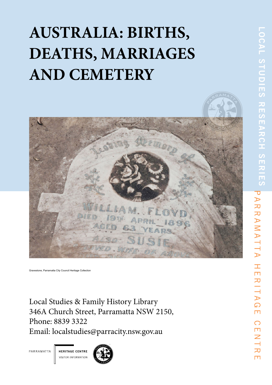# **AUSTRALIA: BIRTHS, DEATHS, MARRIAGES AND CEMETERY**



Gravestone, City of Parramatta, Local Studies Photographic Collection.

Local Studies & Family History Library 346A Church Street, Parramatta NSW 2150 Phone: 02 8839 3322 Email: localstudies@cityofparramatta.nsw.gov.au Website: arc.parracity.nsw.gov.au

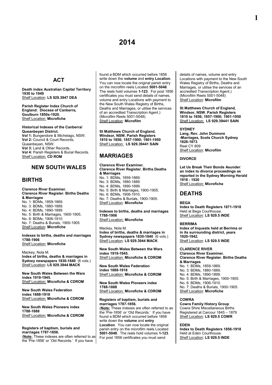## **ACT**

**Death index Australian Capital Territory 1930 to 1949** Shelf Location: **LS 929.3947 DEA**

**Parish Register Index Church of England: Diocese of Canberra, Goulburn 1850s-1920.** Shelf Location: **Microfiche**

#### **Historical Indexes of the Canberra/ Queanbeyan District.**

**Vol 1:** Bungendore & Michelago, NSW. **Vol 2:** Council & Court Records, Queanbeyan, NSW. **Vol 3:** Land & Other Records. **Vol 4:** Parish Registers & Burial Records. Shelf Location: **CD ROM**

## **NEW SOUTH WALES**

## **BIRTHS**

#### **Clarence River Examiner. Clarence River Register. Births Deaths & Marriages**  No. 1: BDMs, 1859-1869. No. 3: BDMs, 1880-1889. No. 4: BDMs, 1890-1899. No. 5: Birth & Marriages, 1900-1905. No. 6: BDMs, 1906-1910.

No. 7: Deaths & Burials, 1900-1905. Shelf Location: **Microfiche**

**Indexes to births, deaths and marriages 1788-1906** Shelf Location: **Microfiche**

Mackey, Nola M. **Index of births, deaths & marriages in Sydney newspapers 1830-1840** (6 vols.) Shelf Location: **LS 929.3944 MACK**

**New South Wales Between the Wars index 1919-1945.** Shelf Location: **Microfiche & CDROM**

**New South Wales Federation index 1888-1918** Shelf Location: **Microfiche & CDROM**

**New South Wales Pioneers index 1788-1888** Shelf Location: **Microfiche & CDROM**

#### **Registers of baptism, burials and marriages 1787-1856.**

(**Note:** These indexes are often referred to as the 'Pre-1856' or 'Old Records.' If you have

found a BDM which occurred before 1856 write down the **volume** and **entry Location**. You can now locate the original parish entry on the microfilm reels Located **5001-5048**. The reels hold volumes **1-123**. For post 1856 certificates you must send details of names, volume and entry Locations with payment to the New South Wales Registry of Births, Deaths and Marriages, or utilise the services of an accredited Transcription Agent.) (Microfilm Reels 5001-5048) Shelf Location: **Microfilm**

**St Matthews Church of England, Windsor, NSW. Parish Registers 1810 to 1856; 1857-1900; 1901-1950** Shelf Location: **LS 929.39441 SAIN**

## **MARRIAGES**

**Clarence River Examiner. Clarence River Register. Births Deaths & Marriages**  No. 1: BDMs, 1859-1869. No. 3: BDMs, 1880-1889. No. 4: BDMs, 1890-1899. No. 5: Birth & Marriages, 1900-1905. No. 6: BDMs, 1906-1910. No. 7: Deaths & Burials, 1900-1905. Shelf Location: **Microfiche**

**Indexes to births, deaths and marriages 1788-1906**

Shelf Location: **Microfiche**

Mackey, Nola M. **Index of births, deaths & marriages in Sydney newspapers 1830-1840** (6 vols.) Shelf Location: **LS 929.3944 MACK**

**New South Wales Between the Wars index 1919-1945.** Shelf Location: **Microfiche & CDROM**

**New South Wales Federation index 1888-1918** Shelf Location: **Microfiche & CDROM**

**New South Wales Pioneers index 1788-1888** Shelf Location: **Microfiche & CDROM**

#### **Registers of baptism, burials and marriages 1787-1856.**

(**Note:** These indexes are often referred to as the 'Pre-1856' or 'Old Records.' If you have found a BDM which occurred before 1856 write down the **volume** and **entry Location**. You can now locate the original parish entry on the microfilm reels Located **5001-5048**. The reels hold volumes **1-123**. For post 1856 certificates you must send

details of names, volume and entry Locations with payment to the New South Wales Registry of Births, Deaths and Marriages, or utilise the services of an accredited Transcription Agent.) (Microfilm Reels 5001-5048) Shelf Location: **Microfilm**

**St Matthews Church of England, Windsor, NSW. Parish Registers 1810 to 1856; 1857-1900; 1901-1950** Shelf Location: **LS 929.39441 SAIN**

#### **SYDNEY**

**Lang, Rev. John Dunmore -Marriages, Scots Church Sydney 1826-1873**. Reel CY 809 Shelf Location: **Microfilm**

**DIVORCE**

**Let Us Break Their Bonds Asunder**: **an index to divorce proceedings as reported in the Sydney Morning Herald 1918 - 1920**  Shelf Location: **Microfiche**

## **DEATHS**

#### **BEGA**

**Index to Death Registers 1871-1918** Held at Bega Courthouse. Shelf Location: **LS 929.5 INDE**

#### **BERRIMA**

**Index of Inquests held at Berrima or in its surrounding district, years 1920-1942.** Shelf Location: **LS 929.5 INDE**

**CLARENCE RIVER Clarence River Examiner. Clarence River Register. Births Deaths & Marriages**  No. 1: BDMs, 1859-1869. No. 3: BDMs, 1880-1889. No. 4: BDMs, 1890-1899. No. 5: Birth & Marriages, 1900-1905. No. 6: BDMs, 1906-1910. No. 7: Deaths & Burials, 1900-1905. Shelf Location: **Microfiche**

#### **COWRA**

**Cowra Family History Group** Cowra Shire Miscellaneous Births Registered at Carcour 1845 – 1879 Shelf Location: **LS 929.5 COWR**

#### **EDEN**

**Index to Death Registers 1856-1918** Held at Eden Courthouse. Shelf Location: **LS 929.5 INDE**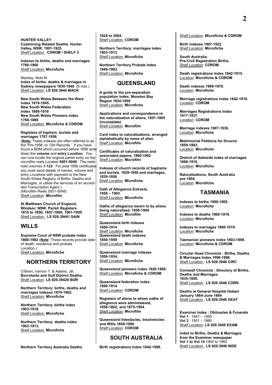**HUNTER VALLEY Coalmining Related Deaths. Hunter Valley, NSW, 1901-1925.** Shelf Location : **CDROM / SHELF 3**

**Indexes to births, deaths and marriages 1788-1906** Shelf Location: **Microfiche**

Mackey, Nola M. **Index of births, deaths & marriages in Sydney newspapers 1830-1840** (6 vols.) Shelf Location: **LS 929.3944 MACK**

**New South Wales Between the Wars index 1919-1945. New South Wales Federation index 1888-1918 New South Wales Pioneers index 1788-1888** Shelf Location: **Microfiche & CDROM**

**Registers of baptism, burials and marriages 1787-1856.**

(**Note:** These indexes are often referred to as the 'Pre-1856' or 'Old Records.' If you have found a BDM which occurred before 1856 write down the **volume** and **entry Location**. You can now locate the original parish entry on the microfilm reels Located **5001-5048**. The reels hold volumes **1-123**. For post 1856 certificates you must send details of names, volume and entry Locations with payment to the New South Wales Registry of Births, Deaths and Marriages, or utilise the services of an accredited Transcription Agent.) (Microfilm Reels 5001-5048) Shelf Location: **Microfilm**

**St Matthews Church of England, Windsor, NSW. Parish Registers 1810 to 1856; 1857-1900; 1901-1950** Shelf Location: **LS 929.39441 SAIN**

## **WILLS**

**Supreme Court of NSW probate index 1800-1982** (**Note**: These records provide date of death, residence and probate Location.) Shelf Location: **Microfiche**

## **NORTHERN TERRITORY**

O'Brien, Vernon T. & Adams, Jill. **Borroloola and Gulf District Deaths.** Shelf Location: **LS 929.39429 BOR**

**Northern Territory: births, deaths and marriages indexes 1870-1902.** Shelf Location: **Microfiche** 

**Northern Territory: births index 1903-1918.**  Shelf Location: **Microfiche** 

**Northern Territory: deaths index 1903-1913.**  Shelf Location: **Microfiche** 

**Northern Territory Australia Deaths** 

**1824 to 2004.** Shelf Location: **CDROM** 

**Northern Territory: marriages index 1903-1913.** Shelf Location: **Microfiche** 

**Northern Territory Probate Index 1949-1993.** Shelf Location: **Microfiche** 

## **QUEENSLAND**

**A guide to the pre-separation population index: Moreton Bay Region 1824-1859** Shelf Location: **Microfiche**

**Applications and correspondence re the naturalization of aliens, 1851-1905 (incomplete)** Shelf Location: **Microfilm**

**Card index to naturalizations, arranged alphabetically by name of alien** Shelf Location: **Microfilm**

**Certificates of naturalization and associated papers, 1860-1902** Shelf Location: **Microfilm**

**Indexes of church records of baptisms and burials, 1829-1856 and marriages, 1839-1856** Shelf Location: **Microfiche**

**Oath of Allegiance Extracts, 1858 – 1903**. Shelf Location: **Microfiche**

**Oaths of allegiance sworn to by aliens being naturalized, 1858-1904** Shelf Location: **Microfilm**

**Queensland birth indexes 1850-1914** Shelf Location: **Microfiche Queensland death indexes 1850-1959** Shelf Location: **Microfiche**

**Queensland marriage indexes 1856-1934.** Shelf Location: **Microfiche**

**Queensland pioneers index 1829-1889.** Shelf Location: **Microfiche & CDROM**

**Queensland federation index 1890-1914**. Shelf Location: **CDROM**

**Registers of aliens to whom oaths of allegiance were administered, 1858-1862; and 1875-1904**. Shelf Location: **Microfilm**

**Queensland Intestacies, Insolvencies and Wills 1859-1900.** Shelf Location: **CDROM**

## **SOUTH AUSTRALIA**

**Birth registrations Index 1842-1906.**

Shelf Location: **Microfiche & CDROM**

**Birth indexes 1907-1922.** Shelf Location: **Microfiche**

**South Australia. Pre-Civil Registration Births.** Shelf Location: **CDROM**

**Death registrations Index 1842-1915.** Location: **Microfiche & CDROM**

**Death indexes 1906-1970.** Location: **Microfiche**

**Marriage registrations Index 1842-1916.**  Location: **CDROM**

**Marriages Registrations Index 1917-1937.** Location: **CDROM**

**Marriage indexes 1907-1930.** Location: **Microfiche**

**Matrimonial Petitions for Divorce 1859-1893.**  Location: **Microfiche**

**District of Adelaide index of marriages 1868-1916.** Location: **Microfiche**

**Naturalizations, South Australia pre 1904.** Location: **Microfiche**

## **TASMANIA**

**Indexes to births 1900-1905.** Location: **Microfiche**

**Indexes to deaths 1900-1919.** Location: **Microfiche**

**Indexes to marriages 1900-1919.** Location: **Microfiche**

**Tasmanian pioneers index 1803-1899.** Location: **Microfiche & CDROM**

**Circular Head Chronicle : Births, Deaths & Marriages Index 1906-1998.** Shelf Location : **LS 929.3946 CIRC**

**Cornwall Chronicle : Directory of Births, Deaths and Marriages 1835-1850.** Shelf Location : **LS 929.3946 CORN**

**Deaths at General Hospital Hobart January 1864-June 1884** Shelf Location : **LS 929.3946 DEAT**

**Examiner Index : Obituaries & Funerals Vol 1** : 1941 – 1950 **Vol 2** : 1951 – 1960 Shelf Location: **LS 929.3946 EXAM**

**Index to Births, Deaths & Marriages from the Examiner newspaper Vol 1 to Vol 14** 1900 to 1960 Shelf Location : **LS 929.3946 INDE**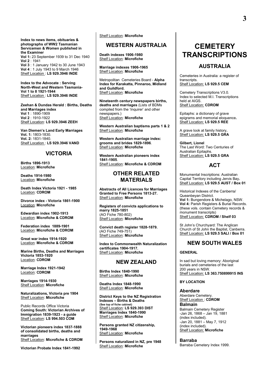**Index to news items, obituaries & photographs of WW2 Tasmanian Servicemen & Women published in the Examiner Vol 1:** 23 September 1939 to 31 Dec 1940 **Vol 2** : 1941

**Vol 3** : 1 January 1942 to 30 June 1943 **Vol 4** : 1 July 1943 to 9 March 1946 Shelf Location : **LS 929.3946 INDE** 

**Index to the Advocate : Serving North-West and Western Tasmania-Vol 1 to 8 1921-1944** Shelf Location : **LS 929.3946 INDE** 

**Zeehan & Dundas Herald : Births, Deaths and Marriages index Vol 1** : 1890-1909 **Vol 2** : 1910-1922 Shelf Location: **LS 929.3946 ZEEH**

**Van Diemen's Land Early Marriages Vol. 1:** 1803-1830. **Vol. 2:** 1831-1840. Shelf Location : **LS 929.3946 VAND**

## **VICTORIA**

**Births 1896-1913** Location: **Microfiche**

**Deaths 1914-1980** Location: **Microfiche**

**Death Index Victoria 1921 - 1985**  Location: **CDROM**

**Divorce index - Victoria 1861-1900** Location: **Microfiche**

**Edwardian index 1902-1913** Location: **Microfiche & CDROM**

**Federation index 1889-1901** Location: **Microfiche & CDROM**

**Great war index 1914-1920** Location: **Microfiche & CDROM**

**Marine Births, Deaths and Marriages Victoria 1853-1920** Location: **CDROM**

**Marriage Index 1921-1942**  Location: **CDROM**

**Marriages 1914-1930** Shelf Location: **Microfiche**

**Naturalizations, Victoria pre 1904** Shelf Location: **Microfiche**

Public Records Office Victoria **Coming South: Victorian Archives of Immigration 1839-1923 - a guide** Shelf Location: **LS 994.503 COM**

**Victorian pioneers index 1837-1888 of consolidated births, deaths and marriages** Shelf Location: **Microfiche & CDROM**

**Victorian Probate Index 1841-1992**

Shelf Location: **Microfiche**

## **WESTERN AUSTRALIA**

**Death indexes 1906-1980** Shelf Location: **Microfiche**

**Marriage indexes 1906-1965** Shelf Location: **Microfiche**

Metropolitan Cemeteries Board - **Alpha Index for Karakatta, Pinnaroo, Midland and Guildford.** Shelf Location: **Microfiche**

**Nineteenth century newspapers births, deaths and marriages** (Lists of BDMs compiled from the 'Inquirer' and other newspapers.) Shelf Location: **Microfiche**

**Western Australian baptisms parts 1 & 2** Shelf Location: **Microfiche**

**Western Australian marriage index: grooms and brides 1829-1896**. Shelf Location: **Microfiche**

**Western Australian pioneers index 1841-1905**. Shelf Location: **Microfiche & CDROM**

## **OTHER RELATED MATERIALS**

**Abstracts of All Licences for Marriages Granted to Free Persons 1813-27.** Shelf Location: **Microfiche**

**Registers of convicts applications to marry 1825-1851** (AO Fiche 780-802) Shelf Location: **Microfiche**

**Convict death register 1828-1879.** (AO Fiche 749-751) Shelf Location: **Microfiche**

**Index to Commonwealth Naturalization certificates 1904-1917.** Shelf Location: **Microfiche**

#### **NEW ZEALAND**

**Births Index 1840-1990** Shelf Location: **Microfiche**

**Deaths Index 1848-1990** Shelf Location: **Microfiche**

**District Keys to the NZ Registration Indexes – Births & Deaths (See top of fiche cabinet)** Shelf Location: **LS 929.393 DIST Marriages Index 1840-1990** Shelf Location: **Microfiche**

**Persons granted NZ citizenship, 1949-1968** Shelf Location: **Microfiche**

**Persons naturalized in NZ, pre 1948** Shelf Location: **Microfiche**

## **CEMETERY TRANSCRIPTIONS**

## **AUSTRALIA**

Cemeteries in Australia: a register of transcripts. Shelf Location: **LS 929.5 CEM**

Cemetery Transcriptions V3.0. Index to selected M.I. Transcriptions held at AIGS. Shelf Location: **CDROM** 

Epitaphs: a dictionary of grave epigrams and memorial eloquence**.** Shelf Location: **LS 929.5 REE**

A grave look at family history**.** Shelf Location: **LS 929.5 GRA**

**Gilbert, Lionel** The Last Word: Two Centuries of Australian Epitaphs. Shelf Location: **LS 929.5 GRA**

#### **ACT**

Monumental Inscriptions: Australian Capital Territory including Jervis Bay**.** Shelf Location: **LS 929.5 AUST / Box 01**

Historical Indexes of the Canberra/ Queanbeyan District. **Vol 1:** Bungendore & Michelago, NSW. **Vol 4:** Parish Registers & Burial Records. (these vols. contain Cemetery records & monument transcripts) Shelf Location: **CDROM / Shelf 03**

St John's Churchyard: The Anglican Church of St John the Baptist, Canberra. Shelf Location: **LS 929.5 SALI / Box 01**

## **NEW SOUTH WALES**

**GENERAL**

In sad but loving memory: Aboriginal burials and cemeteries of the last 200 years in NSW. Shelf Location: **LS 363.750899915 INS**

#### **BY LOCATION**

**Aberdare** Aberdare Cemetery. Shelf Location : **CDROM Balmain**  Balmain Cemetery Register -Jan 26, 1868 – Jan 19, 1881 (index included). -Jan 20, 1881 – May 7, 1912 (index included). Shelf Location: **Microfiche**

#### **Barraba**

Barraba Cemetery Index 1999.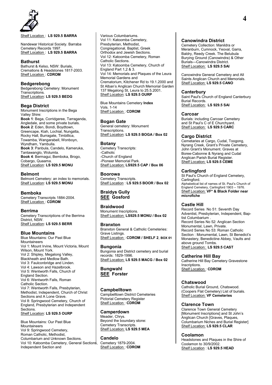

Shelf Location : **LS 929.5 BARRA** 

Nandewar Historical Society. Barraba Cemetery Records 1997. Shelf Location : **LS 929.5 BARRA**

#### **Bathurst**

Bathurst & Kelso, NSW: Burials, Cremations & Headstones 1817-2003. Shelf Location : **CDROM** 

#### **Bedgerebong**

Bedgerebong Cemetery: Monument Transcriptions. Shelf Location: **LS 929.5 BEDG** 

#### **Bega District**

Monument Inscriptions in the Bega Valley Shire: **Book 1**: Bega, Corridgeree, Tarraganda, Angledale, and some private burials. **Book 2**: Eden, Bondi, Boydtown, Greencape, Kiah, Lochial, Nungatta, Rocky Hall, Burragate, Timbillica, Towamba, Wangarabell, Wonboyn, Wyndham, Yambulla. **Book 3**: Panbula, Candelo, Kameruka, Tantawanglo, Wolumla. **Book 4**: Bermagui, Bemboka, Brogo, Cobargo, Quaama. Shelf Location: **LS 929.5 MONU** 

#### **Belmont**

Belmont Cemetery: an index to memorials. Shelf Location: **LS 929.5 MONU** 

#### **Bemboka**

Cemetery Transcripts 1884-2004. Shelf Location : **CDROM** 

#### **Berrima**

Cemetery Transcriptions of the Berrima District, NSW. Shelf Location: **LS 929.5 BERR**

#### **Blue Mountains**

Blue Mountains: Our Past Blue Mountaineers Vol 1: Mount Irvine, Mount Victoria, Mount Wilson, Mount York. Vol 2: Shipley, Megalong Valley, Blackheath and Medlow Bath. Vol 3: Faulconbridge and Linden. Vol 4: Lawson and Hazelbrook. Vol 5: Wentworth Falls, Church of England Section. Vol 6: Wentworth Falls, Roman Catholic Section. Vol 7: Wentworth Falls, Presbyterian, Methodist, Independent, Church of Christ Sections and A Lone Grave. Vol 8: Springwood Cemetery, Church of England, Presbyterian and Independent Sections.

Shelf Location: **LS 929.5 OURP** 

Blue Mountains: Our Past Blue Mountaineers Vol 9: Springwood Cemetery, Roman Catholic, Methodist, Columbarium and Unknown Sections. Vol 10: Katoomba Cemetery, General Sections, Independent Section and

Various Columbariums. Vol 11: Katoomba Cemetery, Presbyterian, Methodist, Congregational, Baptist, Greek Orthodox and Jewish Sections. Vol 12: Katoomba Cemetery, Roman Catholic Sections. Vol 13: Katoomba Cemetery, Church of England Part 1,2 & 3. Vol 14: Memorials and Plaques of the Leura Memorial Gardens and Crematorium, Kitchener Rd to 19.1.2000 and St Alban's Anglican Church Memorial Garden 137 Megalong St, Leura to 25.5.2001. Shelf Location: **LS 929.5 OURP** 

Blue Mountains Cemetery **Index** Vols. 1-14 Shelf Location : **CDROM** 

#### **Bogan Gate**

General cemetery: Monument **Transcriptions** Shelf Location: **LS 929.5 BOGA / Box 02**

#### **Botany**

Cemetery Transcripts: -Catholic -Church of England -Pioneer Memorial Park. Shelf Location: **LS929.5 CAP / Box 06**

#### **Boorowa**

Cemetery Transcripts. Shelf Location : **LS 929.5 BOOR / Box 02**

**Braidys Gully SEE Gosford**

#### **Braidwood**

Monument Inscriptions. Shelf Location: **LS929.5 MONU / Box 02**

#### **Branxton**

Branxton General & Catholic Cemeteries: Grave Listings. Shelf Location : **CDROM / SHELF 2**, **BOX 01**

**Bungonia** Bungonia and District cemetery and burial records: 1829-1996. Shelf Location: **LS 929.5 MACG / Box 02**

**Bungwahl SEE Forster**

#### **Campbelltown**

Campbelltown District Cemeteries Pictorial Cemetery Register Shelf Location : **CDROM** 

#### **Camperdown**

Meader, Chrys. Beyond the boundary stone: Cemetery Transcripts. Shelf Location: **LS 929.5 MEA** 

**Candelo** Cemetery 1879-2004. Shelf Location : **CDROM** 

#### **Canowindra District**

Cemetery Collection: Manildra or Meranburn, Cumnock, Yeoval, Garra, Baldry, Reedy Creek. The Belubula Burying Ground (Canowindra) & Other Burials—Canowindra District. Shelf Location: **LS 929.5 SAI** 

Canowindra General Cemetery and All Saints Anglican Church and Memorials. Shelf Location: **LS 929.5 CANO**

#### **Canterbury**

Saint Paul's Church of England Canterbury Burial Records. Shelf Location: **LS 929.5 SAI** 

#### **Carcoar**

Burials: including Carcoar Cemetery and St Paul's C of E Churchyard. Shelf Location: **LS 929.5 CARC** 

## **Cargo District**

Cemetaries at Cargo, Cudal, Toogong, Nyrang Creek, Grant's Private Cemetery, John Grant's Monument. Graves at Boree-Cabonne & Nyrang and Cudal Anglican Parish Burial Register. Shelf Location: **LS 929.5 CEME** 

#### **Carlingford**

St Paul's Church of England Cemetery, Carlingford. Alphabetical list of names of St. Paul's Church of England Cemetery, Carlingford 1903 – 1976. Shelf Location: **VF\* & Black Folder near microfiche**

#### **Castle Hill**

Record Series No 51: Seventh Day Adventist, Presbyterian, Independent, Baptist Columbarium . Record Series No 52: Anglican Section Monumental, Lawn, Private. Record Series No 53: Roman Catholic Section : Monumental, Lawn, St Benedict's Monastery, Benedictine Abbey, Vaults and above ground Tombs. Shelf Location: **LS 929.5 CAST**

#### **Catherine Hill Bay**

Catherine Hill Bay Cemetery Gravestone Inscriptions. Shelf Location : **CDROM** 

### **Chatswood**

Catholic Burial Ground, Chatswood. (Coopers Flat Cemetery) List of burials. Shelf Location: **VF Cemeteries**

#### **Clarence Town**

Clarence Town General Cemetery [Monument Inscriptions] and St John's Anglican Church [Graves, Plaques, Columbarium Niches and Burial Register] Shelf Location: **LS 929.5 CLAR** 

### **Coolamon**

Headstones and Plaques in the Shire of Coolamon to 30/9/2002. Shelf Location : **LS 929.5 HEAD**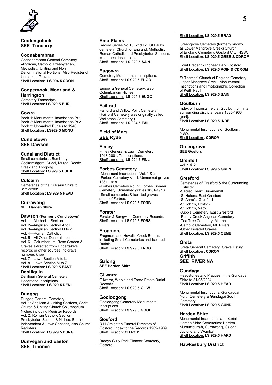

## **Coolongolook SEE Tuncurry**

#### **Coonabarabran**

Coonabarabran General Cemetery -Anglican, Catholic, Presbyterian, Methodist / Uniting and Non Denominational Portions. Also Register of Unmarked Graves. Shelf Location: **LS 994.5 COON** 

#### **Coopernook, Moorland & Harrington**

Cemetery Transcripts. Shelf Location: **LS 929.5 BURI** 

#### **Cowra**

Book 1: Monumental inscriptions Pt.1. Book 2: Monumental inscriptions Pt.2. Book 3: Unmarked Burials to 1940. Shelf Location : **LS929.5 MONU** 

## **Cundletown SEE Dawson**

#### **Cudal and District**

Small cemeteries : Bumberry, Cookamidgera, Cudal, Murga, Reedy Creek and Toogong**.** Shelf Location: **LS 929.5 CUDA** 

#### **Culcairn**

Cemeteries of the Culcairn Shire to 31/12/2001. Shelf Location : **LS 929.5 HEAD** 

#### **Currawong SEE Harden Shire**

#### **Dawson (Formerly Cundletown)**

Vol. 1—Methodist Section. Vol. 2—Anglican Section A to L. Vol. 3—Anglican Section M to Z. Vol. 4—Roman Catholic. Vol. 5—All Other Denominations. Vol. 6—Columbarium, Rose Garden & Graves extracted from Undertakers records or other sources, no grave numbers known. Vol. 7—Lawn Section A to L. Vol. 8—Lawn Section M to Z.

Shelf Location: **LS 929.5 EAST** 

## **Deniliquin**

Deniliquin General Cemetery, Headstone Inscriptions. Shelf Location: **LS 929.5 DENI**

#### **Dungog**

Dungog General Cemetery Vol. 1: Anglican & Uniting Sections, Christ Church & Uniting Church Columbarium Niches including Register Records. Vol. 2: Roman Catholic Section, Presbyterian Section & Niches, Baptist, Independent & Lawn Sections, also Church Registers. Shelf Location: **LS 929.5 DUNG**

## **Dunvegan and Easton SEE Tinonee**

#### **Emu Plains**

Record Series No 13 (2nd Ed) St Paul's cemetery :Church of England, Methodist, Roman Catholic and Presbyterian Sections. Monument Inscriptions. Shelf Location: **LS 929.5 SAIN**

#### **Eugowra**

Cemetery Monumental Inscriptions. Shelf Location: **LS 929.5 EUGO**

Eugowra General Cemetery, also Columbarium Niches. Shelf Location: **LS 994.5 EUGO**

#### **Failford**

Failford and Willow Point Cemetery. (Failford Cemetery was originally called Wollomba Cemetery.) Shelf Location: **LS 994.5 FAIL** 

#### **Field of Mars SEE Ryde**

#### **Finley**

Finley General & Lawn Cemetery 1913-2001, Transcriptions. Shelf Location: **LS 994.5 FINL** 

#### **Forbes Cemetery**

-Monument Inscriptions. Vol. 1 & 2 -Forbes Cemetery Vol 1: Unmarked graves 1861-1918. -Forbes Cemetery Vol. 2: Forbes Pioneer Cemetery. Unmarked graves 1861-1918. -Small cemeteries & isolated graves south of Forbes. Shelf Location: **LS 929.5 FORB** 

## **Forster**

Forster & Bungwahl Cemetery Records. Shelf Location: **LS 929.5 FORS** 

### **Frogmore**

Frogmore and Hovell's Creek Burials: including Small Cemeteries and Isolated Burials. Shelf Location: **LS 929.5 FROG** 

## **Galong**

**SEE Harden Shire**

#### **Gilwarra**

Gilwarra, Woola and Taree Estate Burial Records. Shelf Location: **LS 929.5 GILW** 

#### **Gooloogong**

Gooloogong Cemetery Monumental Inscriptions. Shelf Location: **LS 929.5 GOOL** 

## **Gosford**

R H Creighton Funeral Directors of Gosford: Index to the Records 1909-1989 Shelf Location: **CD ROM** 

Bradys Gully Park Pioneer Cemetery, Gosford.

#### Shelf Location: **LS 929.5 BRAD**

Greengrove Cemetery (formerly known as Lower Mangrove Creek) Church of England Cemetery, Gosford City, NSW. Shelf Location: **LS 929.5 GREE & CDROM** 

Point Frederick Pioneer Park, Gosford. Shelf Location: **LS 929.5 POIN & CDROM** 

St Thomas' Church of England Cemetery, Upper Mangrove Creek, Monumental Inscriptions and Photographic Collection of Keith Paull. Shelf Location: **LS 929.5 SAIN**

#### **Goulburn**

Index of Inquests held at Goulburn or in its surrounding districts, years 1835-1963 [part]. Shelf Location: **LS 929.5 INDE** 

Monumental Inscriptions of Goulburn, **NSW** Shelf Location : **CDROM** 

#### **Greengrove SEE Gosford**

**Grenfell** Vol. 1 & 2 Shelf Location: **LS 929.5 GREN** 

#### **Gresford**

Cemeteries of Gresford & the Surrounding Districts: -Sacred Heart, Summerhill -St Helens, East Gresford -St Anne's, Gresford -St John's, Lostock -St John's, Vacy -Jupp's Cemetery, East Gresford -Reedy Creek Anglican Cemetery -Tea Tree Cemetery, Miranni -Catholic Cemetery, Mt. Rivers -Other Isolated Graves Shelf Location: **LS 929.5 CEME**

**Greta**

Greta General Cemetery: Grave Listing Shelf Location : **CDROM Griffith SEE RIVERINA**

## **Gundagai**

Headstones and Plaques in the Gundagai Shire to 31/05/2004. Shelf Location: **LS 929.5 HEAD** 

Monumental Inscriptions: Gundadgai North Cemetery & Gundagai South Cemetery. Shelf Location: **LS 929.5 GUND** 

#### **Harden Shire**

Monumental Inscriptions and Burials, Harden Shire Cemeteries: Harden-Murrumburrah, Currawong, Galong, Jugiong and Wombat. Shelf Location: **LS 929.5 HARD** 

#### **Hawkesbury District**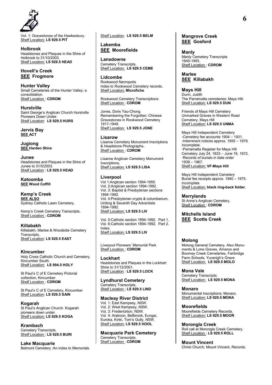

Vol. 1: Gravestones of the Hawkesbury. Shelf Location: **LS 929.5 PIT** 

**Holbrook** Headstones and Plaques in the Shire of Holbrook to 31/10/2003. Shelf Location: **LS 929.5 HEAD** 

## **Hovell's Creek SEE Frogmore**

**Hunter Valley** Small Cemeteries of the Hunter Valley: a consolidation. Shelf Location : **CDROM** 

**Hurstville** Saint George's Anglican Church Hurstville Pioneers Down Under. Shelf Location: **LS 929.5 HURS** 

**Jervis Bay SEE ACT**

**Jugiong SEE Harden Shire**

**Junee** Headstones and Plaques in the Shire of Junee to 31/5/2003. Shelf Location : **LS 929.5 HEAD** 

**Katoomba SEE Wood Coffill**

#### **Kemp's Creek SEE ALSO**  Sydney Catholic Lawn Cemetery.

Kemp's Creek Cemetery Transcripts. Shelf Location : **CDROM** 

**Killabakh** Killabakh, Marlee & Woodside Cemetery

Transcripts. Shelf Location: **LS 929.5 EAST** 

### **Kincumber**

Holy Cross Catholic Church and Cemetery, Kincumber South. Shelf Location: **LS 994.5 HOLY** 

St Paul's C of E Cemetery Pictorial collection, Kincumber Shelf Location : **CDROM** 

St Paul's C of E Cemetery, Kincumber Shelf Location: **LS 929.5 SAIN** 

### **Kogarah**

St Paul's Anglican Church. Kogarah pioneers down under. Shelf Location: **LS 929.5 KOGA** 

**Krambach** Cemetery Transcripts. Shelf Location : **LS 929.5 BURI** 

**Lake Macquarie** Belmont Cemetery :An index to Memorials Shelf Location: **LS 929.5 BELM**

**Lakemba SEE Moorefields**

**Lansdowne** Cemetery Transcripts. Shelf Location: **LS 929.5 CEME** 

**Lidcombe** Rookwood Necropolis Index to Rookwood Cemetery records. Shelf Location: **Microfiche**

Rookwood Cemetery Transcriptions Shelf Location : **CDROM**

Jones, Doris Yau-Chong Remembering the Forgotten: Chinese Gravestones in Rookwood Cemetery 1917-1949. Shelf Location: **LS 929.5 JONE**

#### **Lisarow**

Lisarow Cemetery Monument Inscriptions & Headstone Photographs. Shelf Location : **CDROM** 

Lisarow Anglican Cemetery Monument Inscriptions. Shelf Location: **LS 929.5 LISA** 

#### **Liverpool**

Vol 1:Anglican section 1894-1955. Vol. 2:Anglican section 1894-1992. Vol. 3: Baptist & Presbyterian sections 1894-1992. Vol. 4:Presbyterian crypts & columbarium, Uniting & Seventh Day Adventists 1894-1992. Shelf Location: **LS 929.5 LIV** 

Vol. 5:Catholic section 1894-1992. Part 1. Vol. 6:Catholic section 1894-1992. Part 2. Index Shelf Location: **LS 929.5 LIV** 

Liverpool Pioneers' Memorial Park Shelf Location : **CDROM** 

#### **Lockhart**

Headstones and Plaques in the Lockhart Shire to 31/12/2001. Shelf Location : **LS 929.5 LOCK**

## **Lyndhurst Cemetery**

Cemetery Transcripts. Shelf Location : **LS 929.5 LIND**

### **Macleay River District**

Vol. 1: East Kempsey, NSW. Vol. 2: West Kempsey, NSW. Vol. 3: Frederickton, NSW. Vol. 4: Arakoon, Bellbrook, Eungai, Euroka, Kinki, Tom's Gully, NSW. Shelf Location: **LS 929.5 HOOL**

**Macquarie Park Cemetery** Cemetery Transcripts. Shelf Location : **CDROM** 

## **Mangrove Creek SEE Gosford**

**Manly** Manly Cemetery Transcripts 1845-1993. Shelf Location : **CDROM** 

**Marlee SEE Killabakh**

**Mays Hill** Dunn, Judith The Parramatta cemeteries: Mays Hill. Shelf Location: **LS 929.5 DUN**

Friends of Mays Hill Cemetery Unmarked Graves in Western Road Cemetery, Mays Hill Shelf Location: **LS 929.5 UNMA**

Mays Hill Independent Cemetery -Cemetery fee accounts 1904 – 1931. -Internment notices approx. 1955 – 1979. Incomplete. -Parramatta Register for Mays Hill Cemetery July 24, 1833 – June 19, 1972. -Records of burials in date order 1939 – 1967. Shelf Location: **VF-Mays Hill**

Mays Hill Independent Cemetery Burial fee receipts approx. 1940 – 1975. incomplete Shelf Location: **black ring-back folder**.

## **Merrylands**

St Anne's Anglican Cemetery. Shelf Location : **CDROM** 

**Mitchells Island SEE Scotts Creek**

### **Molong**

Molong General Cemetery. Also Monuments & Lone Graves, Amaroo and Boomey Creek Cemeteries, Fairbridge Farm Schools, Yuranigh's Grave Shelf Location: **LS 929.5 MOLO** 

**Mona Vale** 

Cemetery Transcripts. Shelf Location: **LS 929.5 MONA** 

### **Monaro**

Monumental Inscriptions: Monaro. Shelf Location: **LS 929.5 MONA** 

**Moorefields**

Moorefields Cemetery Records. Shelf Location: **LS 929.5 MOOR** 

**Morongla Creek**

Roll call at Morongla Creek Cemetery. Shelf Location : **LS 929.5 ROLL** 

### **Mount Vincent**

Christ Church, Mount Vincent, Records.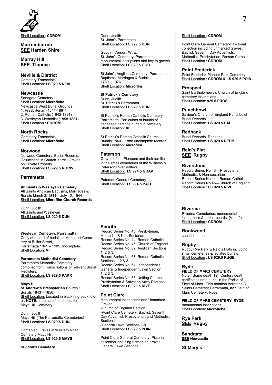

Shelf Location : **CDROM** 

#### **Murrumburrah SEE Harden Shire**

**Murray Hill SEE Tinonee**

#### **Neville & District**

Cemetery Transcripts. Shelf Location: **LS 929.5 NEVI** 

#### **Newcastle**

Sandgate Cemetery. Shelf Location: **Microfiche** Newcastle West Burial Grounds 1. Presbyterian (1844-1881) 2. Roman Catholic (1842-1881) 3. Wesleyan Methodist (1858-1881) Shelf Location : **CDROM** 

#### **North Rocks**

Cemetery Transcripts. Shelf Location: **Microfiche** 

#### **Norwood**

Norwood Cemetery, Burial Records, Columbaria in Church Yards, Graves on Private Property. Shelf Location: **LS 929.5 NORW** 

## **Parramatta**

#### **All Saints & Wesleyan Cemetery**

All Saints Anglican Baptisms, Marriages & Burials March 3, 1844 – July 12, 1944 Shelf Location: **Microfilm-Church Records**

Dunn, Judith All Saints and Wesleyan Shelf Location: **LS 929.5 DUN** 

#### **Wesleyan Cemetery, Parramatta** Copy of record of burials in Methodist Cemetery at Buller Street,

Parramatta 1841 – 1905. Incomplete. Shelf Location: **VF**

#### **Parramatta Methodist Cemetery**

Parramatta Methodist Cemetery: compiled from Transcriptions of relevant Burial Registers. Shelf Location: **LS 929.5 PARR** 

#### **Mays Hill**

**St Andrew's Presbyterian** Church : Burials 1843 – 1850. Shelf Location: Located in black ring-back folder. **NOTE:** these are first burials for Mays Hill Cemetery.

Dunn, Judith Mays Hill (The Parramatta Cemeteries) Shelf Location: **LS 929.5 DUN** 

Unmarked Graves in Western Road Cemetery Mays Hill. Shelf Location: **LS 929.5 MAYS**

#### **St John's Cemetery**

Dunn, Judith St. John's Parramatta Shelf Location: **LS 929.5 DUN** 

Goodin, Vernon. W. E. St. John's Cemetery, Parramatta: monumental inscriptions and key to graves Shelf Location: **LS 929.5 GOO** 

St John's Anglican Cemetery, Parramatta: Baptisms, Marriages & Burials 1789 – 1976 Shelf Location: **Microfilm**

#### **St Patrick's Cemetery**

Dunn, Judith St. Patrick's Parramatta Shelf Location: **LS 929.5 DUN** 

St Patrick's Roman Catholic Cemetery, Parramatta. Particulars of burials of deceased persons buried in cemetery Shelf Location: **VF**

St Patrick's Roman Catholic Church Burials 1840 – 1888 (incomplete records) Shelf Location: **Microfilm**

#### **Paterson**

Graves of the Pioneers and their families in the small cemeteries of the Williams & Paterson River Valleys. Shelf Location: **LS 994.5 GRAV**

Paterson General Cemetery Shelf Location: **LS 994.5 PATE** 

## **Penrith**

Record Series No. 43: Presbyterian, Methodist & Non-Sectarian. Record Series No. 44: Roman Catholic. Record Series No. 45: Church of England. Record Series No. 62: Anglican Sections 1, 2 & 3. Record Series No. 63: Roman Catholic Sections 1, 2 & 3. Record Series No. 64: Independent / General & Independent Lawn Section 1, 2 & 3. Record Series No. 65: Uniting Church, Presbyterian & Salvation Army Portions. Shelf Location: **LS 929.5 RIVE** 

### **Point Clare**

Monumental Inscriptions and Unmarked **Graves** -Church of England Section -Point Clare Cemetery: Baptist, Seventh Day Adventist, Presbyterian and Methodist Sections. -General Lawn Sections 1-8. Shelf Location: **LS 929.5 POIN**

Point Clare General Cemetery: Pictorial collection including unmarked graves. General Lawn Sections

#### Shelf Location : **CDROM**

Point Clare General Cemetery: Pictorial collection including unmarked graves. Baptist, Seventh Day Adventists, Methodist, Presbyterian, Roman Catholic. Shelf Location : **CDROM** 

#### **Point Frederick**

Point Frederick Pioneer Park Cemetery Shelf Location : **CDROM & LS 929.5 POIN**

#### **Prospect**

Saint Bartholomews's Church of England cemetery inscriptions Shelf Location: **929.5 PROS**

#### **Punchbowl**

Saviour's Church of England Punchbowl Burial Records. Shelf Location: **LS 929.5 SAI** 

#### **Redbank**

Burial Records, Redbank. Shelf Location: **LS 929.5 REDB**

## **Reid's Flat SEE Rugby**

#### **Riverstone**

Record Series No 43 - Presbyterian, Methodist & Non-sectarian Record Series No 44—Roman Catholic Record Series No 45—Church of England Shelf Location : **LS 929.5 RIVE** 

### **Riverina**

Riverina Cemeteries: monumental inscriptions & burial records. (Vers.2) Shelf Location : **CDROM** 

**Rookwood**  see Lidcombe

### **Rugby**

Rugby Rye Park & Reid's Flats including small cemeteries & isolated burials Shelf Location : **LS 929.5 RUGB** 

### **Ryde**

## **FIELD OF MARS CEMETERY**

Note: Some death 19<sup>th</sup> Century death certificates note burial in the Parish of Field of Mars. This notation indicates All Saints Cemetery Parramatta, **not** Field of Mars Cemetery, Ryde

**FIELD OF MARS CEMETERY, RYDE** monumental inscriptions. Shelf Location: **Microfiche** 

**Rye Park SEE Rugby**

**Sandgate SEE Newcastle**

**St Mary's**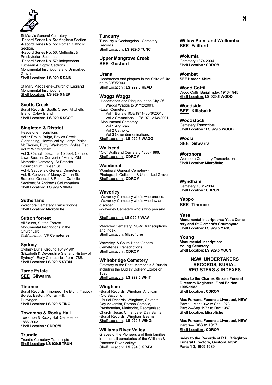

St Mary's General Cemetery -Record Series No. 54: Anglican Section. -Record Series No. 55: Roman Catholic **Section** -Record Series No. 56: Methodist & Presbyterian Sections. -Record Series No. 57: Independent Lutheran & Coptic Sections. Monumental Inscriptions and Unmarked Graves. Shelf Location: **LS 929.5 SAIN**

St Mary Magdalene-Church of England Monumental Inscriptions Shelf Location: **LS 929.5 NEP**

#### **Scotts Creek**

Burial Records, Scotts Creek, Mitchells Island, Oxley Island. Shelf Location: **LS 929.5 SCOT**

## **Singleton & District**

Headstone Inscriptions Vol 1: Broke, Bulga, Boyles Creek, Glenridding, Howes Valley, Jerrys Plains, Mt Thorley, Putty, Warkworth, Wylies Flat. Vol 2: Whittingham. Vol 3: Catholic Sections 1,2,3&4, Catholic Lawn Section, Convent of Mercy, Old Methodist Cemetery, St Patricks Columbarium, Queen St. Vol 4: Sedgefield General Cemetery. Vol. 5: Convent of Mercy, Queen St; Branxton General & Roman Catholic Sections; St Andrew's Columbarium. Shelf Location: **LS 929.5 SING** 

#### **Sutherland**

Woronora Cemetery Transcriptions Shelf Location: **Microfiche** 

#### **Sutton forrest**

All Saints, Sutton Forrest Monumental Inscriptions in the Churchyard. Shelf Location: **VF Cemeteries**

#### **Sydney**

Sydney Burial Ground 1819-1901 (Elizabeth & Devonshire Sts) and History of Sydney's Early Cemeteries from 1788. Shelf Location: **LS 929.5 SYDN**

## **Taree Estate SEE Gilwarra**

**Tinonee**

Burial Records, Tinonee, The Bight (Yappo), Bo-Bo, Easton, Murray Hill, Dunvegan. Shelf Location: **LS 929.5 TINO** 

## **Towamba & Rocky Hall**

Towamba & Rocky Hall Cemeteries 1886-2003 Shelf Location : **CDROM** 

#### **Trundle**

Trundle Cemetery Transcripts Shelf Location**: LS 929.5 TRUN** 

#### **Tuncurry**

Tuncurry & Coolongolook Cemetery Records. Shelf Location**: LS 929.5 TUNC** 

#### **Upper Mangrove Creek SEE Gosford**

#### **Urana**

Headstones and plaques in the Shire of Urana to 30/9/2003 Shelf Location : **LS 929.5 HEAD** 

#### **Wagga Wagga**

-Headstones and Plaques in the City Of Wagga Wagga to 31/12/2001. -Lawn Cemetery Vol 1 Burials 10/8/1971- 30/6/2001. Vol 2 Cremations 11/8/1971-31/8/2001. -Monumental Cemetery Vol 1 Anglican. Vol 2 Catholic. Vol 3 Other demoninations. Shelf Location : **LS 929.5 WAGG** 

## **Wallsend**

"Old" Wallsend Cemetery 1863-1896. Shelf Location : **CDROM** 

#### **Wamberal**

Wamberal General Cemetery - Photograph Collection & Unmarked Graves Shelf Location : **CDROM** 

#### **Waverley**

-Waverley Cemetery who's who encore. -Waverley Cemetery who's who law and disorder. -Waverley Cemetery who's who pen and paper. Shelf Location: **LS 929.5 WAV** 

Waverley Cemetery, NSW: transcriptions and index.

Shelf Location: **Microfiche**

Waverley & South Head General Cemeteries Transcriptions Shelf Location : **CDROM** 

#### **Whitebridge Cemetery**

Gateway to the Past, Memorials & Burials including the Dudley Colliery Explosion 1898. Shelf Location: **LS 929.5 WHIT** 

#### **Wingham**

-Burial Records, Wingham Anglican (Old Section). - Burial Records, Wingham, Seventh Day Adventist, Roman Catholic, Presbyterian, Methodist, Reorganised Church, Jesus Christ Later Day Saints. -Burial Records, Wingham Beams Shelf Location: **LS 929.5 WING** 

#### **Williams River Valley**

Graves of the Pioneers and their families in the small cemeteries of the Williams & Paterson River Valleys. Shelf Location: **LS 994.5 GRAV** 

## **Willow Point and Wollomba SEE Failford**

**Wolumla**  Cemetery 1874-2004 Shelf Location : **CDROM** 

**Wombat SEE Harden Shire**

**Wood Coffill**  Wood Coffill Burial Index 1916-1945 Shelf Location: **LS 929.5 WOOD**

**Woodside SEE Killabakh**

**Woodstock** Cemetery Transcripts. Shelf Location : **LS 929.5 WOOD** 

**Woola SEE Gilwarra**

**Woronora** Woronora Cemetery Transcriptions. Shelf Location: **Microfiche**

**Wyndham**  Cemetery 1881-2004 Shelf Location : **CDROM** 

**Yappo SEE Tinonee**

#### **Yass Monumental Inscriptions: Yass Cemetery and St Clement's Churchyard.** Shelf Location: **LS 929.5 YASS**

**Young Monumental Inscription: Young Cemetery.** Shelf Location: **LS 929.5 YOUN** 

#### **NSW UNDERTAKERS RECORDS, BURIAL REGISTERS & INDEXES**

**Index to the Charles Kinsela Funeral Directors Registers. Final Edition 1905-1982.** Shelf Location : **CDROM** 

**Max Perrams Funerals Liverpool, NSW Part 1**—Mar 1962 to Sep 1973 **Part 2**—Sep 1973 to Dec 1987 Shelf Location: **Microfiche** 

**Max Perrams Funerals Liverpool, NSW Part 3**—1988 to 1997 Shelf Location : **CDROM** 

**Index to the Records of R.H. Crieghton Funeral Directors, Gosford, NSW Parts 1-3, 1909-1989**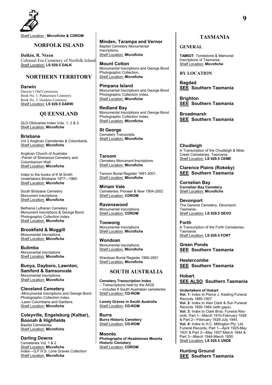

Shelf Location : **Microfiche & CDROM** 

## **NORFOLK ISLAND**

**Dalkin, R. Nixon** Colonial Era Cemetery of Norfolk Island. Shelf Location: **LS 929.5 DALK** 

## **NORTHERN TERRITORY**

**Darwin** Darwin's Old Cemeteries Book No. 1: Palmerston Cemetery. Book No. 2: Gardens Cemetery. Shelf Location: **LS 929.5 DARW** 

## **QUEENSLAND**

QLD Obituaries Index Vols. 1, 2 & 3. Shelf Location: **Microfiche**

**Brisbane** Vol 3 Anglican Cemeteries & Columbaria. Shelf Location: **Microfiche**

Anglican Church of Australia -Parish of Sherwood Cemetery and Columbarium Wall. Shelf Location: **Microfiche**

Index to the books of K M Smith Undertakers Brisbane 1877—1960 Shelf Location: **Microfiche**

South Brisbane Cemetery Monument Inscriptions. Shelf Location: **Microfiche**

Bethania Lutheran Cemetery Monument Inscriptions & George Bond Photographic Collection Index. Shelf Location: **Microfiche**

**Brookfield & Moggill**  Monumental Inscriptions Shelf Location: **Microfiche**

**Bulimba**  Monumental Inscriptions Shelf Location: **Microfiche**

**Bunya, Dayboro, Lawnton, Samford & Samsonvale**  Monumental Inscriptions Shelf Location: **Microfiche**

**Cleveland Cemetery -**Monumental Inscriptions and George Bond Photographic Collection Index. -Lawn Columbaria and Gardens. Shelf Location: **Microfiche**

**Coleyville, Engelsburg (Kalbar), Boonah & Highfields**  Baptist Cemeteries. Shelf Location: **Microfiche**

**Darling Downs**  Cemeteries Vol. 1 & 2 Shelf Location: **Microfiche** Index—Q.F.H.S. Lone Graves Collection Shelf Location: **Microfiche**

**Minden, Tarampa and Vernor**  Baptist Cemetery Monumental Inscriptions. Shelf Location: **Microfiche**

**Mount Cotton**  Monumental Inscriptions and George Bond Photographic Collection**.** Shelf Location: **Microfiche**

**Pimpana Island**  Monumental Inscriptions and George Bond Photographic Collection Index**.** Shelf Location: **Microfiche**

**Redland Bay**  Monumental Inscriptions and George Bond Photographic Collection Index**.** Shelf Location: **Microfiche**

**St George**  Cemetery Transcripts. Shelf Location: **Microfiche**

**Taroom**  Cemetery Monument **I**nscriptions Shelf Location: **Microfiche**

Taroom Burial Register 1891-2001. Shelf Location: **Microfiche**

**Miriam Vale**  Cemeteries: Pioneer & New 1904-2002 Shelf Location: **CDROM** 

**Ravenswood**  Monumental Inscriptions. Shelf Location: **CDROM** 

**Toowong**  Monumental Inscriptions. Shelf Location: **Microfiche**

**Wondoan**  Monumental Inscriptions. Shelf Location: **Microfiche**

Wandoan Burial Register 1960-2001 Shelf Location: **Microfiche**

### **SOUTH AUSTRALIA**

**Cemetery Transcription Index**  – Transcriptions held by the AIGS – includes 8 South Australian cemeteries Shelf Location: **CD-ROM**

**Lonely Graves in South Australia** Shelf Location: **CD-ROM**

**Burra Burra Historic Cemetery** Shelf Location: **CD-ROM**

**Moonto Photographs of Headstones Moonta Historic Cemetery** Shelf Location: CDROM

**TASMANIA**

## **GENERAL**

**TAMIOT**: Tombstone & Memorial Inscriptions of Tasmania. Shelf Location: **Microfiche**

**BY LOCATION**

**Bagdad SEE Southern Tasmania**

**Brighton SEE Southern Tasmania**

**Broadmarsh SEE Southern Tasmania**

**Chudleigh** A Transcription of the Chudleigh & Mole Creek Cemeteries, Tasmania. Shelf Location: **LS 929.5 CEME** 

**Clarence Plains (Rokeby) SEE Southern Tasmania**

**Cornelian Bay Cornelian Bay Cemetery** Shelf Location: **Microfiche**

**Devonport** The General Cemetery, Devonport, Tasmania. Shelf Location: **LS 929.5 DEVO** 

**Forth** A Transcription of the Forth Cemeteries, Tasmania. Shelf Location: **LS 929.5 FORT** 

**Green Ponds SEE Southern Tasmania**

**Hestercombe SEE Southern Tasmania**

**Hobart SEE ALSO Southern Tasmania**

**Undertakers of Hobart Vol. 1:** Index to Pierce J. Keating Funeral Records 1885-1907. **Vol. 2:** Index to Alex Clark & Son Funeral Records 1895-1964 (with gaps). **Vol. 3:** Index to Clark Bros. Funeral Records, Part 1—March 1910-February 1928 & Part 2—February 1928-July 1945. **Vol. 4:** Index to H.C. Millington Pty. Ltd. Funeral Records, Part 1—April 1925-May 1937 & Part 2—May 1937-March 1944 & Part 3—March 1944-March 1950. Shelf Location: **LS 929.5 UNDE**

**Hunting Ground SEE Southern Tasmania**